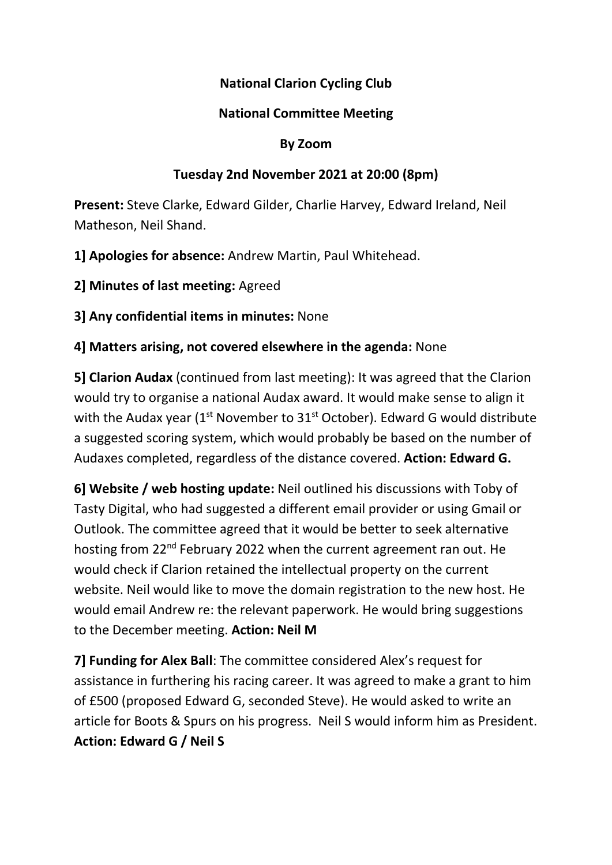## National Clarion Cycling Club

## National Committee Meeting

#### By Zoom

## Tuesday 2nd November 2021 at 20:00 (8pm)

Present: Steve Clarke, Edward Gilder, Charlie Harvey, Edward Ireland, Neil Matheson, Neil Shand.

1] Apologies for absence: Andrew Martin, Paul Whitehead.

2] Minutes of last meeting: Agreed

3] Any confidential items in minutes: None

4] Matters arising, not covered elsewhere in the agenda: None

5] Clarion Audax (continued from last meeting): It was agreed that the Clarion would try to organise a national Audax award. It would make sense to align it with the Audax year ( $1<sup>st</sup>$  November to  $31<sup>st</sup>$  October). Edward G would distribute a suggested scoring system, which would probably be based on the number of Audaxes completed, regardless of the distance covered. Action: Edward G.

6] Website / web hosting update: Neil outlined his discussions with Toby of Tasty Digital, who had suggested a different email provider or using Gmail or Outlook. The committee agreed that it would be better to seek alternative hosting from 22<sup>nd</sup> February 2022 when the current agreement ran out. He would check if Clarion retained the intellectual property on the current website. Neil would like to move the domain registration to the new host. He would email Andrew re: the relevant paperwork. He would bring suggestions to the December meeting. Action: Neil M

7] Funding for Alex Ball: The committee considered Alex's request for assistance in furthering his racing career. It was agreed to make a grant to him of £500 (proposed Edward G, seconded Steve). He would asked to write an article for Boots & Spurs on his progress. Neil S would inform him as President. Action: Edward G / Neil S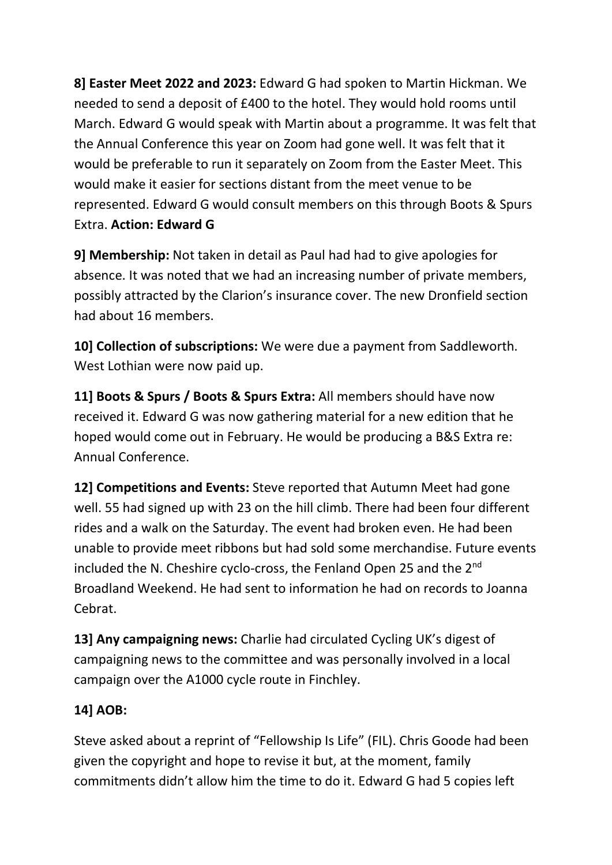8] Easter Meet 2022 and 2023: Edward G had spoken to Martin Hickman. We needed to send a deposit of £400 to the hotel. They would hold rooms until March. Edward G would speak with Martin about a programme. It was felt that the Annual Conference this year on Zoom had gone well. It was felt that it would be preferable to run it separately on Zoom from the Easter Meet. This would make it easier for sections distant from the meet venue to be represented. Edward G would consult members on this through Boots & Spurs Extra. Action: Edward G

9] Membership: Not taken in detail as Paul had had to give apologies for absence. It was noted that we had an increasing number of private members, possibly attracted by the Clarion's insurance cover. The new Dronfield section had about 16 members.

10] Collection of subscriptions: We were due a payment from Saddleworth. West Lothian were now paid up.

11] Boots & Spurs / Boots & Spurs Extra: All members should have now received it. Edward G was now gathering material for a new edition that he hoped would come out in February. He would be producing a B&S Extra re: Annual Conference.

12] Competitions and Events: Steve reported that Autumn Meet had gone well. 55 had signed up with 23 on the hill climb. There had been four different rides and a walk on the Saturday. The event had broken even. He had been unable to provide meet ribbons but had sold some merchandise. Future events included the N. Cheshire cyclo-cross, the Fenland Open 25 and the 2<sup>nd</sup> Broadland Weekend. He had sent to information he had on records to Joanna Cebrat.

13] Any campaigning news: Charlie had circulated Cycling UK's digest of campaigning news to the committee and was personally involved in a local campaign over the A1000 cycle route in Finchley.

# 14] AOB:

Steve asked about a reprint of "Fellowship Is Life" (FIL). Chris Goode had been given the copyright and hope to revise it but, at the moment, family commitments didn't allow him the time to do it. Edward G had 5 copies left